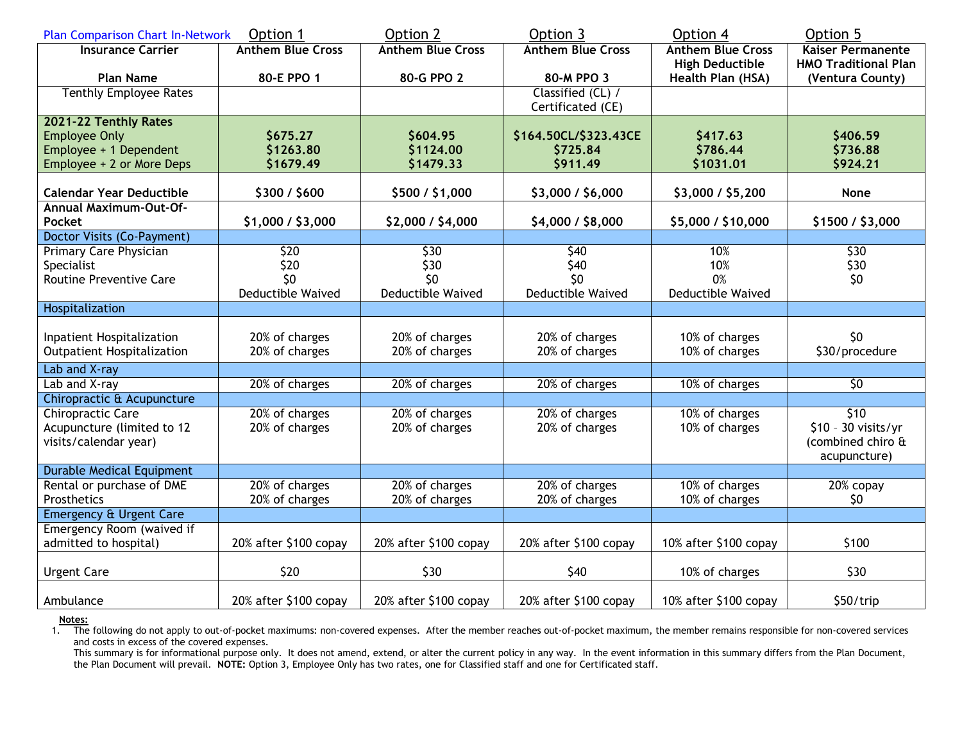| <b>Plan Comparison Chart In-Network</b> | Option 1                 | Option 2                 | Option 3                               | Option 4                 | Option 5                    |
|-----------------------------------------|--------------------------|--------------------------|----------------------------------------|--------------------------|-----------------------------|
| <b>Insurance Carrier</b>                | <b>Anthem Blue Cross</b> | <b>Anthem Blue Cross</b> | <b>Anthem Blue Cross</b>               | <b>Anthem Blue Cross</b> | <b>Kaiser Permanente</b>    |
|                                         |                          |                          |                                        | <b>High Deductible</b>   | <b>HMO Traditional Plan</b> |
| <b>Plan Name</b>                        | 80-E PPO 1               | 80-G PPO 2               | 80-M PPO 3                             | Health Plan (HSA)        | (Ventura County)            |
| <b>Tenthly Employee Rates</b>           |                          |                          | Classified (CL) /<br>Certificated (CE) |                          |                             |
| 2021-22 Tenthly Rates                   |                          |                          |                                        |                          |                             |
| <b>Employee Only</b>                    | \$675.27                 | \$604.95                 | \$164.50CL/\$323.43CE                  | \$417.63                 | \$406.59                    |
| Employee + 1 Dependent                  | \$1263.80                | \$1124.00                | \$725.84                               | \$786.44                 | \$736.88                    |
| Employee + 2 or More Deps               | \$1679.49                | \$1479.33                | \$911.49                               | \$1031.01                | \$924.21                    |
| <b>Calendar Year Deductible</b>         | \$300 / \$600            | \$500 / \$1,000          | \$3,000 / \$6,000                      | \$3,000 / \$5,200        | <b>None</b>                 |
| <b>Annual Maximum-Out-Of-</b>           |                          |                          |                                        |                          |                             |
| <b>Pocket</b>                           | \$1,000 / \$3,000        | \$2,000 / \$4,000        | \$4,000 / \$8,000                      | \$5,000 / \$10,000       | \$1500 / \$3,000            |
| Doctor Visits (Co-Payment)              |                          |                          |                                        |                          |                             |
| <b>Primary Care Physician</b>           | \$20                     | \$30                     | \$40                                   | 10%                      | \$30                        |
| Specialist                              | \$20                     | \$30                     | \$40                                   | 10%                      | \$30                        |
| <b>Routine Preventive Care</b>          | \$0                      | \$0                      | 50                                     | 0%                       | \$0                         |
|                                         | <b>Deductible Waived</b> | <b>Deductible Waived</b> | <b>Deductible Waived</b>               | <b>Deductible Waived</b> |                             |
| Hospitalization                         |                          |                          |                                        |                          |                             |
|                                         |                          |                          |                                        |                          |                             |
| Inpatient Hospitalization               | 20% of charges           | 20% of charges           | 20% of charges                         | 10% of charges           | \$0                         |
| <b>Outpatient Hospitalization</b>       | 20% of charges           | 20% of charges           | 20% of charges                         | 10% of charges           | \$30/procedure              |
| Lab and X-ray                           |                          |                          |                                        |                          |                             |
| Lab and X-ray                           | 20% of charges           | 20% of charges           | 20% of charges                         | 10% of charges           | 50                          |
| Chiropractic & Acupuncture              |                          |                          |                                        |                          |                             |
| <b>Chiropractic Care</b>                | 20% of charges           | 20% of charges           | 20% of charges                         | 10% of charges           | $\overline{510}$            |
| Acupuncture (limited to 12              | 20% of charges           | 20% of charges           | 20% of charges                         | 10% of charges           | \$10 - 30 visits/yr         |
| visits/calendar year)                   |                          |                          |                                        |                          | (combined chiro &           |
|                                         |                          |                          |                                        |                          | acupuncture)                |
| <b>Durable Medical Equipment</b>        |                          |                          |                                        |                          |                             |
| Rental or purchase of DME               | 20% of charges           | 20% of charges           | 20% of charges                         | 10% of charges           | $20%$ copay                 |
| Prosthetics                             | 20% of charges           | 20% of charges           | 20% of charges                         | 10% of charges           | \$0                         |
| <b>Emergency &amp; Urgent Care</b>      |                          |                          |                                        |                          |                             |
| Emergency Room (waived if               |                          |                          |                                        |                          |                             |
| admitted to hospital)                   | 20% after \$100 copay    | 20% after \$100 copay    | 20% after \$100 copay                  | 10% after \$100 copay    | \$100                       |
| <b>Urgent Care</b>                      | \$20                     | \$30                     | \$40                                   | 10% of charges           | \$30                        |
| Ambulance                               | 20% after \$100 copay    | 20% after \$100 copay    | 20% after \$100 copay                  | 10% after \$100 copay    | \$50/trip                   |

Notes:<br>1. The following do not apply to out-of-pocket maximums: non-covered expenses. After the member reaches out-of-pocket maximum, the member remains responsible for non-covered services and costs in excess of the covered expenses.

This summary is for informational purpose only. It does not amend, extend, or alter the current policy in any way. In the event information in this summary differs from the Plan Document, the Plan Document will prevail. **NOTE:** Option 3, Employee Only has two rates, one for Classified staff and one for Certificated staff.